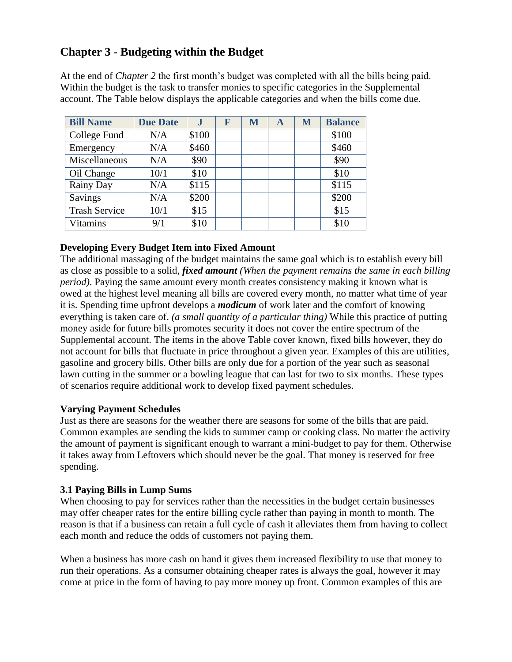# **Chapter 3 - Budgeting within the Budget**

At the end of *Chapter 2* the first month's budget was completed with all the bills being paid. Within the budget is the task to transfer monies to specific categories in the Supplemental account. The Table below displays the applicable categories and when the bills come due.

| <b>Bill Name</b>     | <b>Due Date</b> | ${\bf J}$ | F | M | A | M | <b>Balance</b> |
|----------------------|-----------------|-----------|---|---|---|---|----------------|
| College Fund         | N/A             | \$100     |   |   |   |   | \$100          |
| Emergency            | N/A             | \$460     |   |   |   |   | \$460          |
| Miscellaneous        | N/A             | \$90      |   |   |   |   | \$90           |
| Oil Change           | 10/1            | \$10      |   |   |   |   | \$10           |
| Rainy Day            | N/A             | \$115     |   |   |   |   | \$115          |
| Savings              | N/A             | \$200     |   |   |   |   | \$200          |
| <b>Trash Service</b> | 10/1            | \$15      |   |   |   |   | \$15           |
| Vitamins             | 9/1             | \$10      |   |   |   |   | \$10           |

# **Developing Every Budget Item into Fixed Amount**

The additional massaging of the budget maintains the same goal which is to establish every bill as close as possible to a solid, *fixed amount (When the payment remains the same in each billing period*). Paying the same amount every month creates consistency making it known what is owed at the highest level meaning all bills are covered every month, no matter what time of year it is. Spending time upfront develops a *modicum* of work later and the comfort of knowing everything is taken care of. *(a small quantity of a particular thing)* While this practice of putting money aside for future bills promotes security it does not cover the entire spectrum of the Supplemental account. The items in the above Table cover known, fixed bills however, they do not account for bills that fluctuate in price throughout a given year. Examples of this are utilities, gasoline and grocery bills. Other bills are only due for a portion of the year such as seasonal lawn cutting in the summer or a bowling league that can last for two to six months. These types of scenarios require additional work to develop fixed payment schedules.

#### **Varying Payment Schedules**

Just as there are seasons for the weather there are seasons for some of the bills that are paid. Common examples are sending the kids to summer camp or cooking class. No matter the activity the amount of payment is significant enough to warrant a mini-budget to pay for them. Otherwise it takes away from Leftovers which should never be the goal. That money is reserved for free spending.

# **3.1 Paying Bills in Lump Sums**

When choosing to pay for services rather than the necessities in the budget certain businesses may offer cheaper rates for the entire billing cycle rather than paying in month to month. The reason is that if a business can retain a full cycle of cash it alleviates them from having to collect each month and reduce the odds of customers not paying them.

When a business has more cash on hand it gives them increased flexibility to use that money to run their operations. As a consumer obtaining cheaper rates is always the goal, however it may come at price in the form of having to pay more money up front. Common examples of this are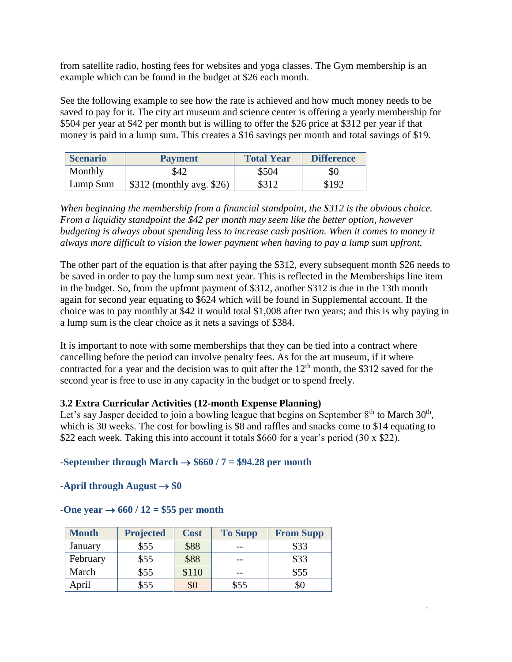from satellite radio, hosting fees for websites and yoga classes. The Gym membership is an example which can be found in the budget at \$26 each month.

See the following example to see how the rate is achieved and how much money needs to be saved to pay for it. The city art museum and science center is offering a yearly membership for \$504 per year at \$42 per month but is willing to offer the \$26 price at \$312 per year if that money is paid in a lump sum. This creates a \$16 savings per month and total savings of \$19.

| <b>Scenario</b> | <b>Payment</b>             | <b>Total Year</b> | <b>Difference</b> |
|-----------------|----------------------------|-------------------|-------------------|
| Monthly         | \$42                       | \$504             | \$0               |
| Lump Sum        | $$312$ (monthly avg. \$26) | \$312             | \$192             |

*When beginning the membership from a financial standpoint, the \$312 is the obvious choice. From a liquidity standpoint the \$42 per month may seem like the better option, however budgeting is always about spending less to increase cash position. When it comes to money it always more difficult to vision the lower payment when having to pay a lump sum upfront.* 

The other part of the equation is that after paying the \$312, every subsequent month \$26 needs to be saved in order to pay the lump sum next year. This is reflected in the Memberships line item in the budget. So, from the upfront payment of \$312, another \$312 is due in the 13th month again for second year equating to \$624 which will be found in Supplemental account. If the choice was to pay monthly at \$42 it would total \$1,008 after two years; and this is why paying in a lump sum is the clear choice as it nets a savings of \$384.

It is important to note with some memberships that they can be tied into a contract where cancelling before the period can involve penalty fees. As for the art museum, if it where contracted for a year and the decision was to quit after the  $12<sup>th</sup>$  month, the \$312 saved for the second year is free to use in any capacity in the budget or to spend freely.

# **3.2 Extra Curricular Activities (12-month Expense Planning)**

Let's say Jasper decided to join a bowling league that begins on September  $8<sup>th</sup>$  to March  $30<sup>th</sup>$ , which is 30 weeks. The cost for bowling is \$8 and raffles and snacks come to \$14 equating to \$22 each week. Taking this into account it totals \$660 for a year's period (30 x \$22).

# **-September through March**  $\rightarrow$  **\$660 / 7 = \$94.28 per month**

**-April through August**  $\rightarrow$  **\$0** 

#### $-One year \rightarrow 660 / 12 = $55 per month$

| <b>Month</b> | <b>Projected</b> | <b>Cost</b> | <b>To Supp</b> | <b>From Supp</b> |
|--------------|------------------|-------------|----------------|------------------|
| January      | \$55             | \$88        |                | \$33             |
| February     | \$55             | \$88        |                | \$33             |
| March        | \$55             | \$110       |                | \$55             |
| April        | \$55             | \$0         | \$55           | SC               |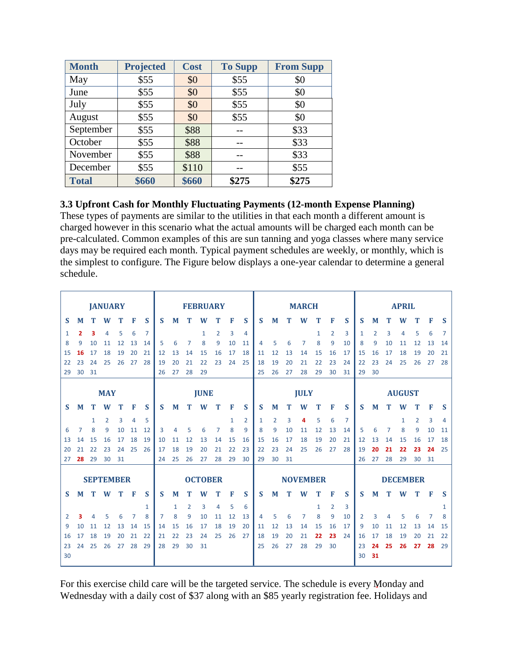| <b>Month</b> | <b>Projected</b> | <b>Cost</b> | <b>To Supp</b> | <b>From Supp</b> |
|--------------|------------------|-------------|----------------|------------------|
| May          | \$55             | \$0         | \$55           | \$0              |
| June         | \$55             | \$0         | \$55           | \$0              |
| July         | \$55             | \$0         | \$55           | \$0              |
| August       | \$55             | \$0         | \$55           | \$0              |
| September    | \$55             | \$88        |                | \$33             |
| October      | \$55             | \$88        |                | \$33             |
| November     | \$55             | \$88        |                | \$33             |
| December     | \$55             | \$110       |                | \$55             |
| <b>Total</b> | \$660            | \$660       | \$275          | \$275            |

# **3.3 Upfront Cash for Monthly Fluctuating Payments (12-month Expense Planning)**

These types of payments are similar to the utilities in that each month a different amount is charged however in this scenario what the actual amounts will be charged each month can be pre-calculated. Common examples of this are sun tanning and yoga classes where many service days may be required each month. Typical payment schedules are weekly, or monthly, which is the simplest to configure. The Figure below displays a one-year calendar to determine a general schedule.

|          |    |              | <b>JANUARY</b>   |    |    |              |    |    |                | <b>FEBRUARY</b> |    |    |    |              |                |    | <b>MARCH</b>    |              |                |                |    |    |    | <b>APRIL</b>    |    |    |    |
|----------|----|--------------|------------------|----|----|--------------|----|----|----------------|-----------------|----|----|----|--------------|----------------|----|-----------------|--------------|----------------|----------------|----|----|----|-----------------|----|----|----|
| S        | M  | т            | W                | т  | F  | S            | S  | M  | т              | W               | Т  | F  | S  | S            | M              | т  | W               | т            | F              | S              | S  | M  | т  | W               | Т  | F  | S  |
| 1        | 2  | з            | 4                | 5  | 6  | 7            |    |    |                | $\mathbf{1}$    | 2  | 3  | 4  |              |                |    |                 | 1            | $\overline{2}$ | 3              | 1  | 2  | 3  | 4               | 5  | 6  | 7  |
| 8        | 9  | 10           | 11               | 12 | 13 | 14           | 5  | 6  | 7              | 8               | 9  | 10 | 11 | 4            | 5              | 6  | $\overline{7}$  | 8            | 9              | 10             | 8  | 9  | 10 | 11              | 12 | 13 | 14 |
| 15       | 16 | 17           | 18               | 19 | 20 | 21           | 12 | 13 | 14             | 15              | 16 | 17 | 18 | 11           | 12             | 13 | 14              | 15           | 16             | 17             | 15 | 16 | 17 | 18              | 19 | 20 | 21 |
| 22       | 23 | 24           | 25               | 26 | 27 | 28           | 19 | 20 | 21             | 22              | 23 | 24 | 25 | 18           | 19             | 20 | 21              | 22           | 23             | 24             | 22 | 23 | 24 | 25              | 26 | 27 | 28 |
| 29       | 30 | 31           |                  |    |    |              | 26 | 27 | 28             | 29              |    |    |    | 25           | 26             | 27 | 28              | 29           | 30             | 31             | 29 | 30 |    |                 |    |    |    |
|          |    |              |                  |    |    |              |    |    |                |                 |    |    |    |              |                |    |                 |              |                |                |    |    |    |                 |    |    |    |
|          |    |              | <b>MAY</b>       |    |    |              |    |    |                | <b>JUNE</b>     |    |    |    |              |                |    | <b>JULY</b>     |              |                |                |    |    |    | <b>AUGUST</b>   |    |    |    |
| <b>S</b> | M  | т            | W                |    | F  | S            | S  | M  | т              | W               | Т  | F  | S  | S            | M              | т  | W               | т            | F              | S              | S  | M  | т  | W               | т  | F  | S  |
|          |    | $\mathbf{1}$ | 2                | 3  | 4  | 5            |    |    |                |                 |    | 1  | 2  | $\mathbf{1}$ | $\overline{2}$ | 3  | 4               | 5            | 6              | $\overline{7}$ |    |    |    | 1               | 2  | 3  | 4  |
| 6        | 7  | 8            | 9                | 10 | 11 | 12           | 3  | 4  | 5              | 6               | 7  | 8  | 9  | 8            | 9              | 10 | 11              | 12           | 13             | 14             | 5  | 6  | 7  | 8               | 9  | 10 | 11 |
| 13       | 14 | 15           | 16               | 17 | 18 | 19           | 10 | 11 | 12             | 13              | 14 | 15 | 16 | 15           | 16             | 17 | 18              | 19           | 20             | 21             | 12 | 13 | 14 | 15              | 16 | 17 | 18 |
| 20       | 21 | 22           | 23               | 24 | 25 | 26           | 17 | 18 | 19             | 20              | 21 | 22 | 23 | 22           | 23             | 24 | 25              | 26           | 27             | 28             | 19 | 20 | 21 | 22              | 23 | 24 | 25 |
| 27       | 28 | 29           | 30               | 31 |    |              | 24 | 25 | 26             | 27              | 28 | 29 | 30 | 29           | 30             | 31 |                 |              |                |                | 26 | 27 | 28 | 29              | 30 | 31 |    |
|          |    |              |                  |    |    |              |    |    |                |                 |    |    |    |              |                |    |                 |              |                |                |    |    |    |                 |    |    |    |
|          |    |              | <b>SEPTEMBER</b> |    |    |              |    |    |                | <b>OCTOBER</b>  |    |    |    |              |                |    | <b>NOVEMBER</b> |              |                |                |    |    |    | <b>DECEMBER</b> |    |    |    |
| S        | M  | т            | W                | т  | F  | S            | S  | M  |                | W               | T  | F  | S  | S            | M              | т  | W               | T            | F              | S              | S  | M  | т  | W               | T  | F  | S  |
|          |    |              |                  |    |    | $\mathbf{1}$ |    | 1  | $\overline{2}$ | 3               | 4  | 5  | 6  |              |                |    |                 | $\mathbf{1}$ | $\overline{2}$ | 3              |    |    |    |                 |    |    | 1  |
| 2        | з  | 4            | 5                | 6  | 7  | 8            | 7  | 8  | 9              | 10              | 11 | 12 | 13 | 4            | 5              | 6  | 7               | 8            | 9              | 10             | 2  | 3  | 4  | 5               | 6  | 7  | 8  |
| 9        | 10 | 11           | 12               | 13 | 14 | 15           | 14 | 15 | 16             | 17              | 18 | 19 | 20 | 11           | 12             | 13 | 14              | 15           | 16             | 17             | 9  | 10 | 11 | 12              | 13 | 14 | 15 |
| 16       | 17 | 18           | 19               | 20 | 21 | 22           | 21 | 22 | 23             | 24              | 25 | 26 | 27 | 18           | 19             | 20 | 21              | 22           | 23             | 24             | 16 | 17 | 18 | 19              | 20 | 21 | 22 |
| 23       | 24 | 25           | 26               | 27 | 28 | 29           | 28 | 29 | 30             | 31              |    |    |    | 25           | 26             | 27 | 28              | 29           | 30             |                | 23 | 24 | 25 | 26              | 27 | 28 | 29 |
| 30       |    |              |                  |    |    |              |    |    |                |                 |    |    |    |              |                |    |                 |              |                |                | 30 | 31 |    |                 |    |    |    |
|          |    |              |                  |    |    |              |    |    |                |                 |    |    |    |              |                |    |                 |              |                |                |    |    |    |                 |    |    |    |

For this exercise child care will be the targeted service. The schedule is every Monday and Wednesday with a daily cost of \$37 along with an \$85 yearly registration fee. Holidays and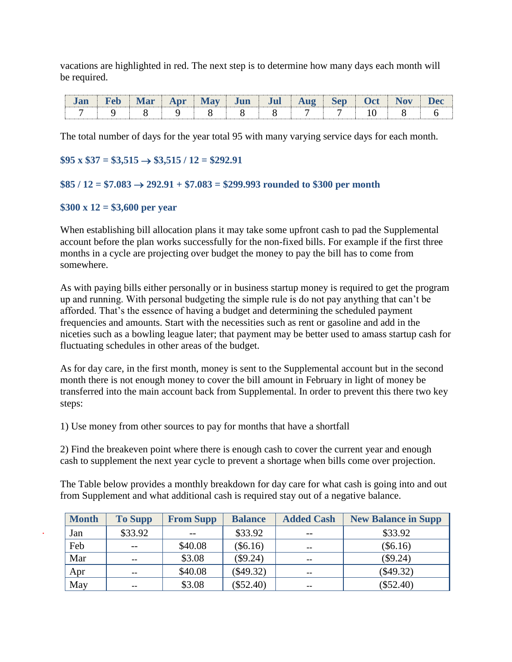vacations are highlighted in red. The next step is to determine how many days each month will be required.

|  |  | $\mathbf{nr}$ |  | uı | -- | <b>Cl</b> |  |
|--|--|---------------|--|----|----|-----------|--|
|  |  |               |  |    |    |           |  |

The total number of days for the year total 95 with many varying service days for each month.

### $$95 \times $37 = $3,515 \rightarrow $3,515 / 12 = $292.91$

#### $$85 / 12 = $7.083 \rightarrow 292.91 + $7.083 = $299.993$  rounded to \$300 per month

#### **\$300 x 12 = \$3,600 per year**

When establishing bill allocation plans it may take some upfront cash to pad the Supplemental account before the plan works successfully for the non-fixed bills. For example if the first three months in a cycle are projecting over budget the money to pay the bill has to come from somewhere.

As with paying bills either personally or in business startup money is required to get the program up and running. With personal budgeting the simple rule is do not pay anything that can't be afforded. That's the essence of having a budget and determining the scheduled payment frequencies and amounts. Start with the necessities such as rent or gasoline and add in the niceties such as a bowling league later; that payment may be better used to amass startup cash for fluctuating schedules in other areas of the budget.

As for day care, in the first month, money is sent to the Supplemental account but in the second month there is not enough money to cover the bill amount in February in light of money be transferred into the main account back from Supplemental. In order to prevent this there two key steps:

1) Use money from other sources to pay for months that have a shortfall

2) Find the breakeven point where there is enough cash to cover the current year and enough cash to supplement the next year cycle to prevent a shortage when bills come over projection.

The Table below provides a monthly breakdown for day care for what cash is going into and out from Supplement and what additional cash is required stay out of a negative balance.

| <b>Month</b> | <b>To Supp</b> | <b>From Supp</b> | <b>Balance</b> | <b>Added Cash</b> | <b>New Balance in Supp</b> |
|--------------|----------------|------------------|----------------|-------------------|----------------------------|
| Jan          | \$33.92        | $- -$            | \$33.92        | $- -$             | \$33.92                    |
| Feb          | $- -$          | \$40.08          | $(\$6.16)$     | $\sim$ $\sim$     | $(\$6.16)$                 |
| Mar          | --             | \$3.08           | (\$9.24)       | $\sim$ $\sim$     | (\$9.24)                   |
| Apr          | --             | \$40.08          | $(\$49.32)$    | $-$               | $(\$49.32)$                |
| May          | --             | \$3.08           | $(\$52.40)$    | $- -$             | $(\$52.40)$                |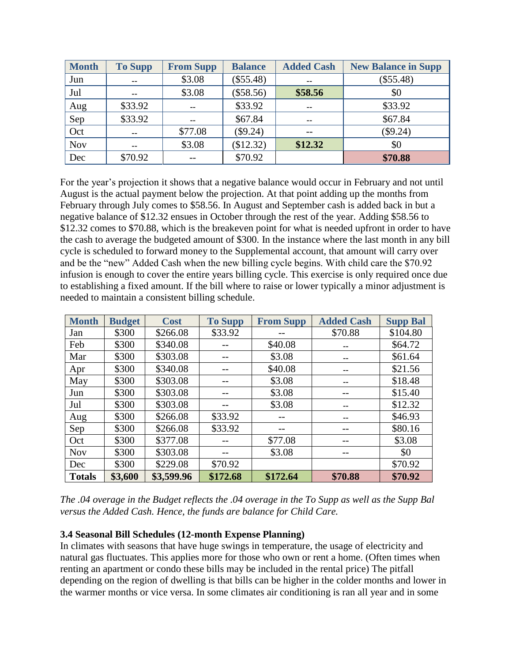| <b>Month</b> | <b>To Supp</b> | <b>From Supp</b> | <b>Balance</b> | <b>Added Cash</b> | <b>New Balance in Supp</b> |
|--------------|----------------|------------------|----------------|-------------------|----------------------------|
| Jun          | $\sim$ $\sim$  | \$3.08           | (\$55.48)      | $\sim$ $\sim$     | (\$55.48)                  |
| Jul          | --             | \$3.08           | (\$58.56)      | \$58.56           | \$0                        |
| Aug          | \$33.92        | $\sim$ $\sim$    | \$33.92        | $\sim$ $\sim$     | \$33.92                    |
| Sep          | \$33.92        | $\sim$           | \$67.84        | $\sim$ $\sim$     | \$67.84                    |
| Oct          | $- -$          | \$77.08          | (\$9.24)       |                   | (\$9.24)                   |
| <b>Nov</b>   | $\sim$         | \$3.08           | \$12.32)       | \$12.32           | \$0                        |
| Dec          | \$70.92        | $- -$            | \$70.92        |                   | \$70.88                    |

For the year's projection it shows that a negative balance would occur in February and not until August is the actual payment below the projection. At that point adding up the months from February through July comes to \$58.56. In August and September cash is added back in but a negative balance of \$12.32 ensues in October through the rest of the year. Adding \$58.56 to \$12.32 comes to \$70.88, which is the breakeven point for what is needed upfront in order to have the cash to average the budgeted amount of \$300. In the instance where the last month in any bill cycle is scheduled to forward money to the Supplemental account, that amount will carry over and be the "new" Added Cash when the new billing cycle begins. With child care the \$70.92 infusion is enough to cover the entire years billing cycle. This exercise is only required once due to establishing a fixed amount. If the bill where to raise or lower typically a minor adjustment is needed to maintain a consistent billing schedule.

| <b>Month</b>  | <b>Budget</b> | <b>Cost</b> | <b>To Supp</b> | <b>From Supp</b> | <b>Added Cash</b> | <b>Supp Bal</b> |
|---------------|---------------|-------------|----------------|------------------|-------------------|-----------------|
| Jan           | \$300         | \$266.08    | \$33.92        |                  | \$70.88           | \$104.80        |
| Feb           | \$300         | \$340.08    |                | \$40.08          | --                | \$64.72         |
| Mar           | \$300         | \$303.08    |                | \$3.08           | --                | \$61.64         |
| Apr           | \$300         | \$340.08    |                | \$40.08          | --                | \$21.56         |
| May           | \$300         | \$303.08    |                | \$3.08           | --                | \$18.48         |
| Jun           | \$300         | \$303.08    |                | \$3.08           |                   | \$15.40         |
| Jul           | \$300         | \$303.08    |                | \$3.08           | --                | \$12.32         |
| Aug           | \$300         | \$266.08    | \$33.92        |                  | --                | \$46.93         |
| Sep           | \$300         | \$266.08    | \$33.92        |                  |                   | \$80.16         |
| Oct           | \$300         | \$377.08    |                | \$77.08          |                   | \$3.08          |
| <b>Nov</b>    | \$300         | \$303.08    |                | \$3.08           |                   | \$0             |
| Dec           | \$300         | \$229.08    | \$70.92        |                  |                   | \$70.92         |
| <b>Totals</b> | \$3,600       | \$3,599.96  | \$172.68       | \$172.64         | \$70.88           | \$70.92         |

*The .04 overage in the Budget reflects the .04 overage in the To Supp as well as the Supp Bal versus the Added Cash. Hence, the funds are balance for Child Care.* 

#### **3.4 Seasonal Bill Schedules (12-month Expense Planning)**

In climates with seasons that have huge swings in temperature, the usage of electricity and natural gas fluctuates. This applies more for those who own or rent a home. (Often times when renting an apartment or condo these bills may be included in the rental price) The pitfall depending on the region of dwelling is that bills can be higher in the colder months and lower in the warmer months or vice versa. In some climates air conditioning is ran all year and in some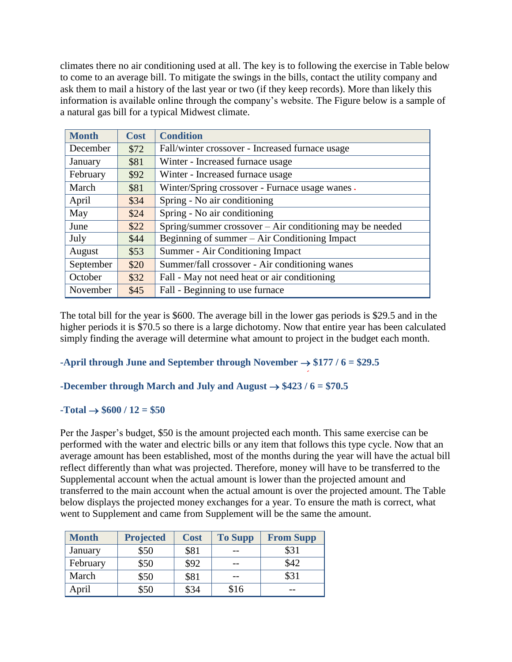climates there no air conditioning used at all. The key is to following the exercise in Table below to come to an average bill. To mitigate the swings in the bills, contact the utility company and ask them to mail a history of the last year or two (if they keep records). More than likely this information is available online through the company's website. The Figure below is a sample of a natural gas bill for a typical Midwest climate.

| <b>Month</b> | <b>Cost</b> | <b>Condition</b>                                         |
|--------------|-------------|----------------------------------------------------------|
| December     | \$72        | Fall/winter crossover - Increased furnace usage          |
| January      | \$81        | Winter - Increased furnace usage                         |
| February     | \$92        | Winter - Increased furnace usage                         |
| March        | \$81        | Winter/Spring crossover - Furnace usage wanes.           |
| April        | \$34        | Spring - No air conditioning                             |
| May          | \$24        | Spring - No air conditioning                             |
| June         | \$22        | Spring/summer crossover – Air conditioning may be needed |
| July         | \$44        | Beginning of summer - Air Conditioning Impact            |
| August       | \$53        | Summer - Air Conditioning Impact                         |
| September    | \$20        | Summer/fall crossover - Air conditioning wanes           |
| October      | \$32        | Fall - May not need heat or air conditioning             |
| November     | \$45        | Fall - Beginning to use furnace                          |

The total bill for the year is \$600. The average bill in the lower gas periods is \$29.5 and in the higher periods it is \$70.5 so there is a large dichotomy. Now that entire year has been calculated simply finding the average will determine what amount to project in the budget each month.

# **-April through June and September through November**  $\rightarrow$  **\$177 / 6 = \$29.5**

# **-December through March and July and August**  $\rightarrow$  **\$423 / 6 = \$70.5**

#### $-Total \rightarrow $600 / 12 = $50$

Per the Jasper's budget*,* \$50 is the amount projected each month. This same exercise can be performed with the water and electric bills or any item that follows this type cycle. Now that an average amount has been established, most of the months during the year will have the actual bill reflect differently than what was projected. Therefore, money will have to be transferred to the Supplemental account when the actual amount is lower than the projected amount and transferred to the main account when the actual amount is over the projected amount. The Table below displays the projected money exchanges for a year. To ensure the math is correct, what went to Supplement and came from Supplement will be the same the amount.

| <b>Month</b> | <b>Projected</b> | <b>Cost</b> | <b>To Supp</b> | <b>From Supp</b> |
|--------------|------------------|-------------|----------------|------------------|
| January      | \$50             | \$81        |                | \$31             |
| February     | \$50             | \$92        |                | \$42             |
| March        | \$50             | \$81        |                | \$31             |
| April        | \$50             | \$34        | \$16           |                  |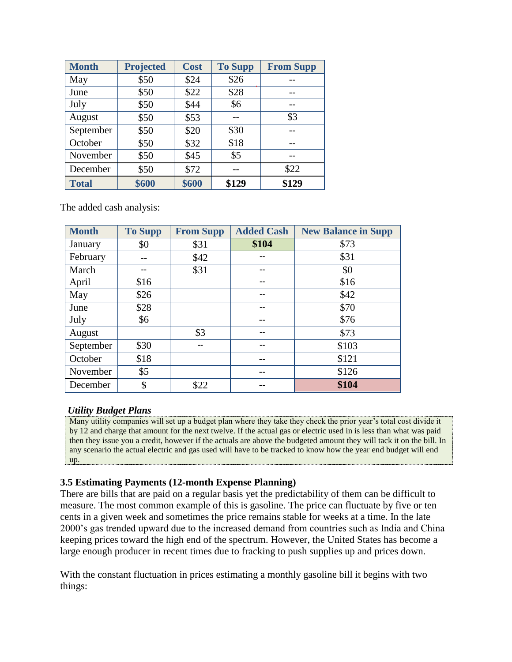| <b>Month</b> | <b>Projected</b> | <b>Cost</b> | <b>To Supp</b> | <b>From Supp</b> |
|--------------|------------------|-------------|----------------|------------------|
| May          | \$50             | \$24        | \$26           |                  |
| June         | \$50             | \$22        | \$28           |                  |
| July         | \$50             | \$44        | \$6            |                  |
| August       | \$50             | \$53        |                | \$3              |
| September    | \$50             | \$20        | \$30           |                  |
| October      | \$50             | \$32        | \$18           |                  |
| November     | \$50             | \$45        | \$5            |                  |
| December     | \$50             | \$72        |                | \$22             |
| <b>Total</b> | \$600            | \$600       | \$129          | \$129            |

The added cash analysis:

| <b>Month</b> | <b>To Supp</b> | <b>From Supp</b> | <b>Added Cash</b> | <b>New Balance in Supp</b> |
|--------------|----------------|------------------|-------------------|----------------------------|
| January      | \$0            | \$31             | \$104             | \$73                       |
| February     |                | \$42             |                   | \$31                       |
| March        |                | \$31             | --                | \$0                        |
| April        | \$16           |                  | --                | \$16                       |
| May          | \$26           |                  | --                | \$42                       |
| June         | \$28           |                  |                   | \$70                       |
| July         | \$6            |                  |                   | \$76                       |
| August       |                | \$3              | --                | \$73                       |
| September    | \$30           | --               | --                | \$103                      |
| October      | \$18           |                  |                   | \$121                      |
| November     | \$5            |                  |                   | \$126                      |
| December     | \$             | \$22             |                   | \$104                      |

# *Utility Budget Plans*

Many utility companies will set up a budget plan where they take they check the prior year's total cost divide it by 12 and charge that amount for the next twelve. If the actual gas or electric used in is less than what was paid then they issue you a credit, however if the actuals are above the budgeted amount they will tack it on the bill. In any scenario the actual electric and gas used will have to be tracked to know how the year end budget will end up.

# **3.5 Estimating Payments (12-month Expense Planning)**

There are bills that are paid on a regular basis yet the predictability of them can be difficult to measure. The most common example of this is gasoline. The price can fluctuate by five or ten cents in a given week and sometimes the price remains stable for weeks at a time. In the late 2000's gas trended upward due to the increased demand from countries such as India and China keeping prices toward the high end of the spectrum. However, the United States has become a large enough producer in recent times due to fracking to push supplies up and prices down.

With the constant fluctuation in prices estimating a monthly gasoline bill it begins with two things: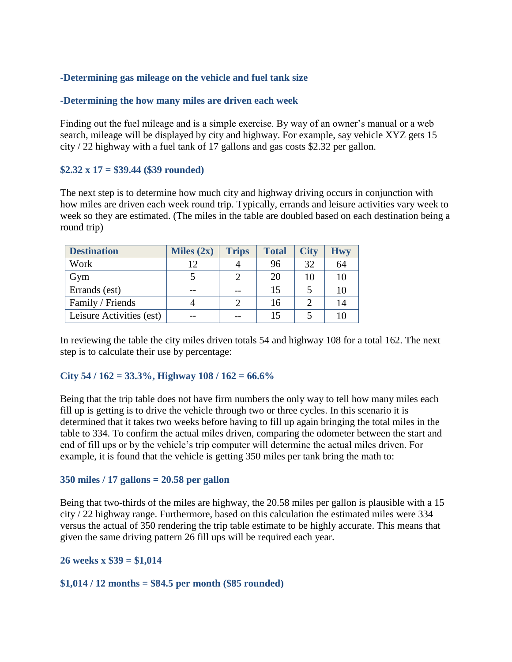# **-Determining gas mileage on the vehicle and fuel tank size**

### **-Determining the how many miles are driven each week**

Finding out the fuel mileage and is a simple exercise. By way of an owner's manual or a web search, mileage will be displayed by city and highway. For example, say vehicle XYZ gets 15 city / 22 highway with a fuel tank of 17 gallons and gas costs \$2.32 per gallon.

### **\$2.32 x 17 = \$39.44 (\$39 rounded)**

The next step is to determine how much city and highway driving occurs in conjunction with how miles are driven each week round trip. Typically, errands and leisure activities vary week to week so they are estimated. (The miles in the table are doubled based on each destination being a round trip)

| <b>Destination</b>       | Miles $(2x)$ | <b>Trips</b> | <b>Total</b> | <b>City</b> | Hwy |
|--------------------------|--------------|--------------|--------------|-------------|-----|
| Work                     | 12           |              | 96           | 32          | 64  |
| Gym                      |              |              | 20           | 10          | 10  |
| Errands (est)            |              |              | 15           |             | 10  |
| Family / Friends         |              |              | 16           |             | 14  |
| Leisure Activities (est) |              |              | 15           |             |     |

In reviewing the table the city miles driven totals 54 and highway 108 for a total 162. The next step is to calculate their use by percentage:

#### **City 54 / 162 = 33.3%, Highway 108 / 162 = 66.6%**

Being that the trip table does not have firm numbers the only way to tell how many miles each fill up is getting is to drive the vehicle through two or three cycles. In this scenario it is determined that it takes two weeks before having to fill up again bringing the total miles in the table to 334. To confirm the actual miles driven, comparing the odometer between the start and end of fill ups or by the vehicle's trip computer will determine the actual miles driven. For example, it is found that the vehicle is getting 350 miles per tank bring the math to:

#### **350 miles / 17 gallons = 20.58 per gallon**

Being that two-thirds of the miles are highway, the 20.58 miles per gallon is plausible with a 15 city / 22 highway range. Furthermore, based on this calculation the estimated miles were 334 versus the actual of 350 rendering the trip table estimate to be highly accurate. This means that given the same driving pattern 26 fill ups will be required each year.

#### **26 weeks x \$39 = \$1,014**

#### **\$1,014 / 12 months = \$84.5 per month (\$85 rounded)**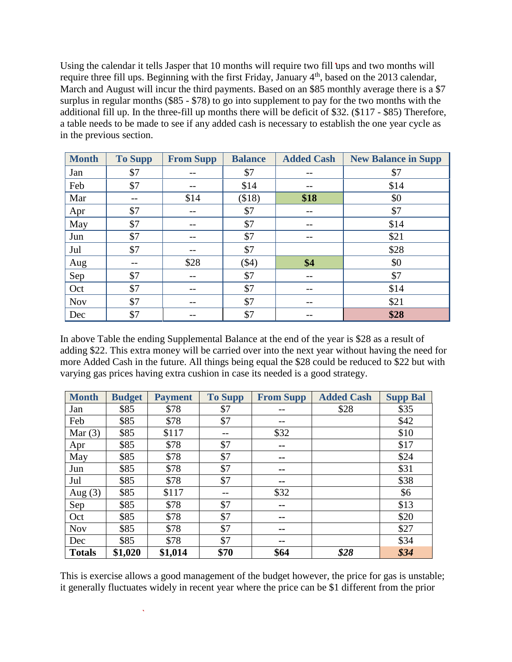Using the calendar it tells Jasper that 10 months will require two fill ups and two months will require three fill ups. Beginning with the first Friday, January 4<sup>th</sup>, based on the 2013 calendar, March and August will incur the third payments. Based on an \$85 monthly average there is a \$7 surplus in regular months (\$85 - \$78) to go into supplement to pay for the two months with the additional fill up. In the three-fill up months there will be deficit of \$32. (\$117 - \$85) Therefore, a table needs to be made to see if any added cash is necessary to establish the one year cycle as in the previous section.

| <b>Month</b> | <b>To Supp</b> | <b>From Supp</b> | <b>Balance</b> | <b>Added Cash</b> | <b>New Balance in Supp</b> |
|--------------|----------------|------------------|----------------|-------------------|----------------------------|
| Jan          | \$7            |                  | \$7            |                   | \$7                        |
| Feb          | \$7            |                  | \$14           |                   | \$14                       |
| Mar          | --             | \$14             | \$18)          | \$18              | \$0                        |
| Apr          | \$7            | $- -$            | \$7            | --                | \$7                        |
| May          | \$7            | --               | \$7            | --                | \$14                       |
| Jun          | \$7            |                  | \$7            | --                | \$21                       |
| Jul          | \$7            |                  | \$7            |                   | \$28                       |
| Aug          |                | \$28             | $(\$4)$        | \$4               | \$0                        |
| Sep          | \$7            |                  | \$7            |                   | \$7                        |
| Oct          | \$7            | $- -$            | \$7            | --                | \$14                       |
| <b>Nov</b>   | \$7            | $- -$            | \$7            | --                | \$21                       |
| Dec          | \$7            | --               | \$7            | --                | \$28                       |

In above Table the ending Supplemental Balance at the end of the year is \$28 as a result of adding \$22. This extra money will be carried over into the next year without having the need for more Added Cash in the future. All things being equal the \$28 could be reduced to \$22 but with varying gas prices having extra cushion in case its needed is a good strategy.

| <b>Month</b>  | <b>Budget</b> | <b>Payment</b> | <b>To Supp</b> | <b>From Supp</b> | <b>Added Cash</b> | <b>Supp Bal</b> |
|---------------|---------------|----------------|----------------|------------------|-------------------|-----------------|
| Jan           | \$85          | \$78           | \$7            |                  | \$28              | \$35            |
| Feb           | \$85          | \$78           | \$7            |                  |                   | \$42            |
| Mar $(3)$     | \$85          | \$117          | --             | \$32             |                   | \$10            |
| Apr           | \$85          | \$78           | \$7            | $- -$            |                   | \$17            |
| May           | \$85          | \$78           | \$7            | --               |                   | \$24            |
| Jun           | \$85          | \$78           | \$7            | --               |                   | \$31            |
| Jul           | \$85          | \$78           | \$7            | --               |                   | \$38            |
| Aug $(3)$     | \$85          | \$117          | --             | \$32             |                   | \$6             |
| Sep           | \$85          | \$78           | \$7            | --               |                   | \$13            |
| Oct           | \$85          | \$78           | \$7            | --               |                   | \$20            |
| <b>Nov</b>    | \$85          | \$78           | \$7            | --               |                   | \$27            |
| Dec           | \$85          | \$78           | \$7            | --               |                   | \$34            |
| <b>Totals</b> | \$1,020       | \$1,014        | \$70           | \$64             | \$28              | \$34            |

This is exercise allows a good management of the budget however, the price for gas is unstable; it generally fluctuates widely in recent year where the price can be \$1 different from the prior